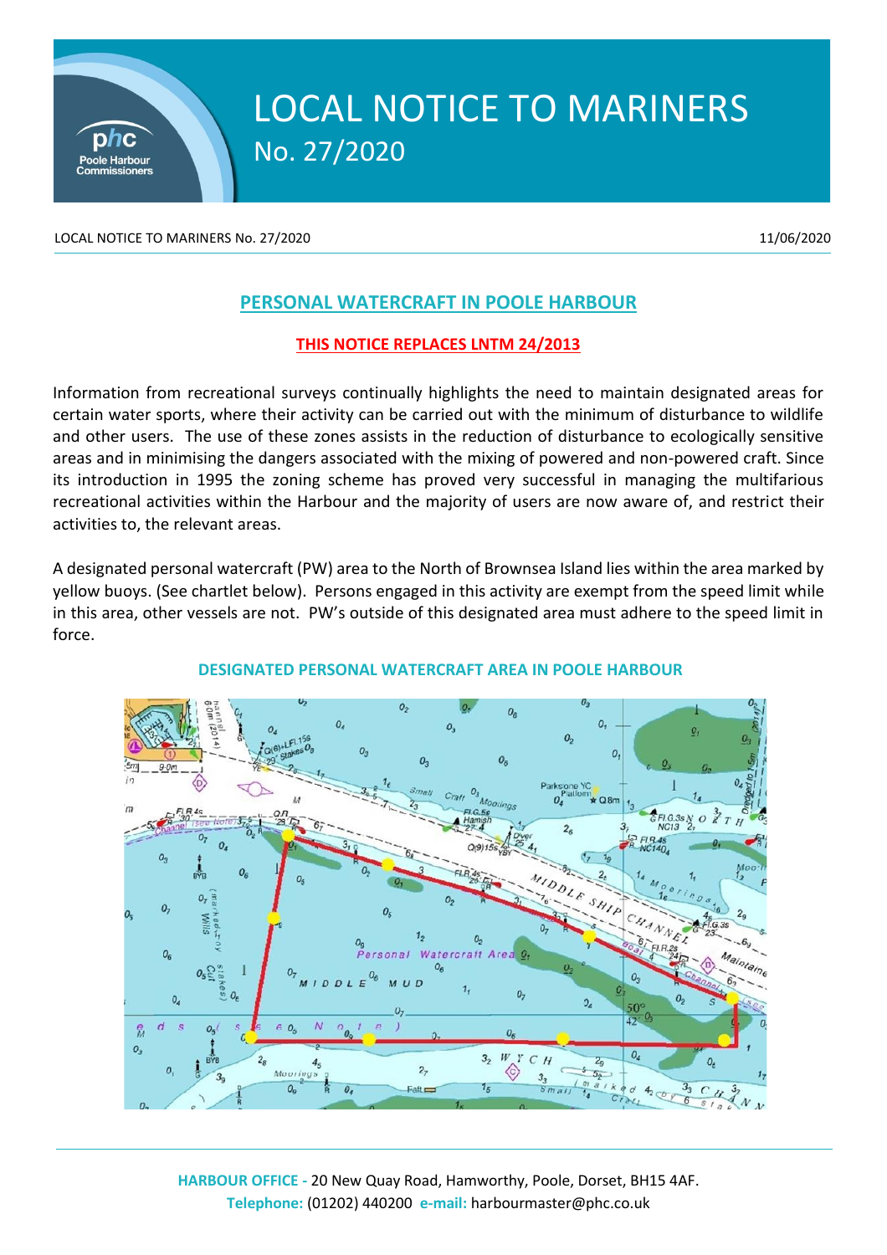

# LOCAL NOTICE TO MARINERS No. 27/2020

LOCAL NOTICE TO MARINERS No. 27/2020 11/06/2020 11/06/2020

# **PERSONAL WATERCRAFT IN POOLE HARBOUR**

# **THIS NOTICE REPLACES LNTM 24/2013**

Information from recreational surveys continually highlights the need to maintain designated areas for certain water sports, where their activity can be carried out with the minimum of disturbance to wildlife and other users. The use of these zones assists in the reduction of disturbance to ecologically sensitive areas and in minimising the dangers associated with the mixing of powered and non-powered craft. Since its introduction in 1995 the zoning scheme has proved very successful in managing the multifarious recreational activities within the Harbour and the majority of users are now aware of, and restrict their activities to, the relevant areas.

A designated personal watercraft (PW) area to the North of Brownsea Island lies within the area marked by yellow buoys. (See chartlet below). Persons engaged in this activity are exempt from the speed limit while in this area, other vessels are not. PW's outside of this designated area must adhere to the speed limit in force.



# **DESIGNATED PERSONAL WATERCRAFT AREA IN POOLE HARBOUR**

**HARBOUR OFFICE -** 20 New Quay Road, Hamworthy, Poole, Dorset, BH15 4AF. **Telephone:** (01202) 440200 **e-mail:** harbourmaster@phc.co.uk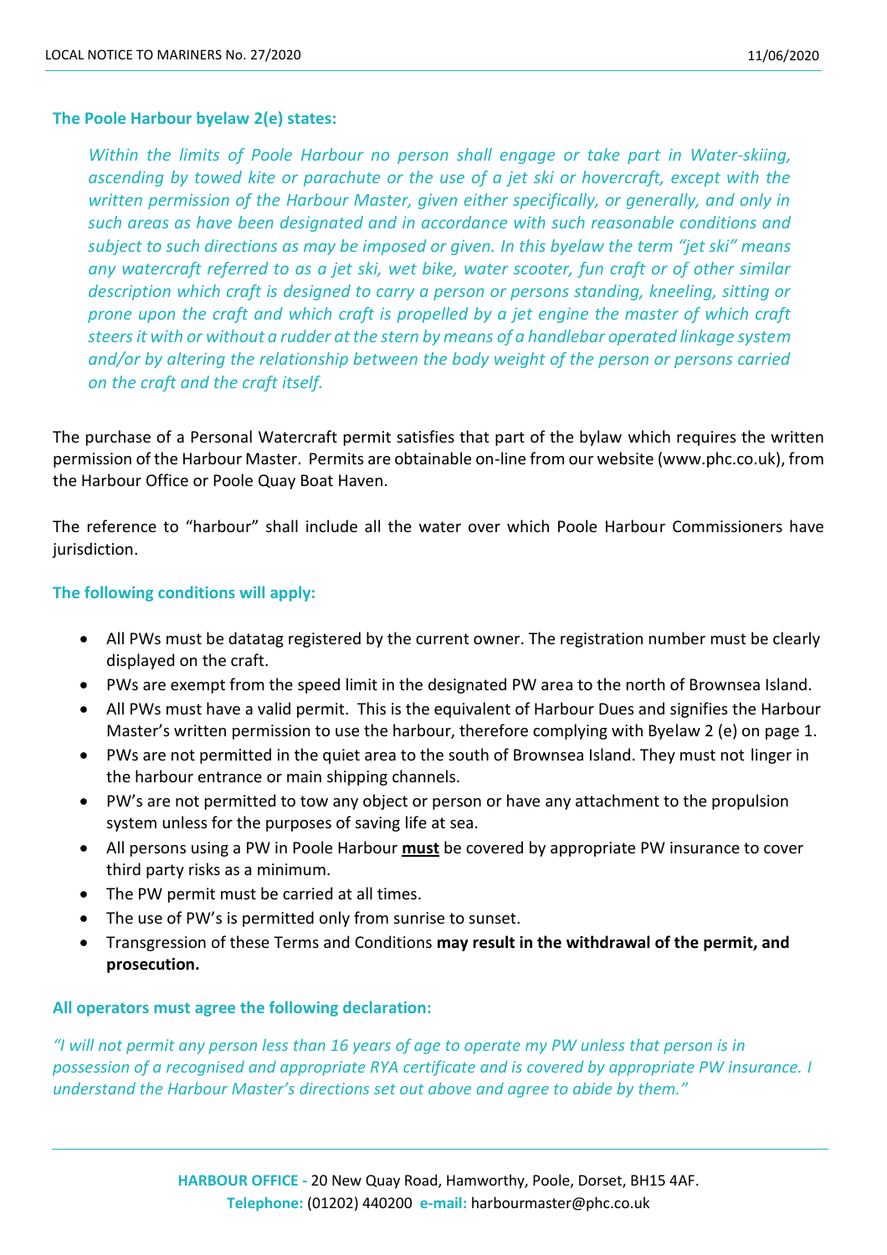#### **The Poole Harbour byelaw 2(e) states:**

*Within the limits of Poole Harbour no person shall engage or take part in Water-skiing, ascending by towed kite or parachute or the use of a jet ski or hovercraft, except with the written permission of the Harbour Master, given either specifically, or generally, and only in such areas as have been designated and in accordance with such reasonable conditions and subject to such directions as may be imposed or given. In this byelaw the term "jet ski" means any watercraft referred to as a jet ski, wet bike, water scooter, fun craft or of other similar description which craft is designed to carry a person or persons standing, kneeling, sitting or prone upon the craft and which craft is propelled by a jet engine the master of which craft steers it with or without a rudder at the stern by means of a handlebar operated linkage system and/or by altering the relationship between the body weight of the person or persons carried on the craft and the craft itself.*

The purchase of a Personal Watercraft permit satisfies that part of the bylaw which requires the written permission of the Harbour Master. Permits are obtainable on-line from our website (www.phc.co.uk), from the Harbour Office or Poole Quay Boat Haven.

The reference to "harbour" shall include all the water over which Poole Harbour Commissioners have jurisdiction.

#### **The following conditions will apply:**

- All PWs must be datatag registered by the current owner. The registration number must be clearly displayed on the craft.
- PWs are exempt from the speed limit in the designated PW area to the north of Brownsea Island.
- All PWs must have a valid permit. This is the equivalent of Harbour Dues and signifies the Harbour Master's written permission to use the harbour, therefore complying with Byelaw 2 (e) on page 1.
- PWs are not permitted in the quiet area to the south of Brownsea Island. They must not linger in the harbour entrance or main shipping channels.
- PW's are not permitted to tow any object or person or have any attachment to the propulsion system unless for the purposes of saving life at sea.
- All persons using a PW in Poole Harbour **must** be covered by appropriate PW insurance to cover third party risks as a minimum.
- The PW permit must be carried at all times.
- The use of PW's is permitted only from sunrise to sunset.
- Transgression of these Terms and Conditions **may result in the withdrawal of the permit, and prosecution.**

#### **All operators must agree the following declaration:**

*"I will not permit any person less than 16 years of age to operate my PW unless that person is in possession of a recognised and appropriate RYA certificate and is covered by appropriate PW insurance. I understand the Harbour Master's directions set out above and agree to abide by them."*